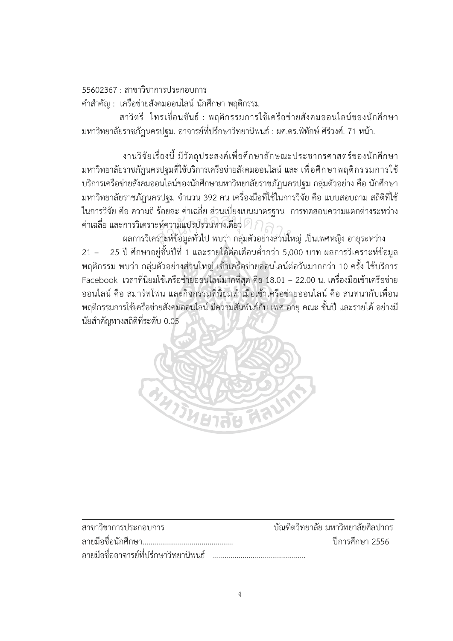$55602367 \cdot$ สาขาวิชาการประกอบการ

้คำสำคัญ : เครือข่ายสังคมออนไลน์ นักศึกษา พฤติกรรม

สาวิตรี ไทรเขื่อนขันธ์ : พฤติกรรมการใช้เครือข่ายสังคมออนไลน์ของนักศึกษา ้มหาวิทยาลัยราชภัฏนครปฐม. อาจารย์ที่ปรึกษาวิทยานิพนธ์ : ผศ.ดร.พิทักษ์ ศิริวงศ์. 71 หน้า.

งานวิจัยเรื่องนี้ มีวัตถุประสงค์เพื่อศึกษาลักษณะประชากรศาสตร์ของนักศึกษา ้มหาวิทยาลัยราชภัฏนครปฐมที่ใช้บริการเครือข่ายสังคมออนไลน์ และ เพื่อศึกษาพฤติกรรมการใช้ ้บริการเครือข่ายสังคมออนไลน์ของนักศึกษามหาวิทยาลัยราชภัฏนครปฐม กลุ่มตัวอย่าง คือ นักศึกษา ้มหาวิทยาลัยราชภัฏนครปฐม จำนวน 392 คน เครื่องมือที่ใช้ในการวิจัย คือ แบบสอบถาม สถิติที่ใช้ ในการวิจัย คือ ความถี่ ร้อยละ ค่าเฉลี่ย ส่วนเบี่ยงเบนมาตรฐาน การทดสอบความแตกต่างระหว่าง ค่าเฉลี่ย และการวิเคราะห์ความแปรปรวนทางเดียว 2

้ผลการวิเคราะห์ข้อมูลทั่วไป พบว่า กลุ่มตัวอย่างส่วนใหญ่ เป็นเพศหญิง อายุระหว่าง 25 ปี ศึกษาอยู่ชั้นปีที่ 1 และรายได้ต่อเดือนต่ำกว่า 5,000 บาท ผลการวิเคราะห์ข้อมูล  $21 -$ ี พฤติกรรม พบว่า กลุ่มตัวอย่างส่วนใหญ่ เข้าเครือข่ายออนไลน์ต่อวันมากกว่า 10 ครั้ง ใช้บริการ Facebook เวลาที่นิยมใช้เครือข่ายออนไลน์มากที่สด คือ 18.01 – 22.00 น. เครื่องมือเข้าเครือข่าย ้ออนไลน์ คือ สมาร์ทโฟน และกิจกรรมที่นิยมทำเมื่อเข้าเครือข่ายออนไลน์ คือ สนทนากับเพื่อน ี พฤติกรรมการใช้เครือข่ายสังคมออนไลน์ มีความสัมพันธ์กับ เพศ อายุ คณะ ชั้นปี และรายได้ อย่างมี นัยสำคัญทางสถิติที่ระดับ 0.05



| สาขาวิชาการประกอบการ                   | ้ บัณฑิตวิทยาลัย มหาวิทยาลัยศิลปากร |
|----------------------------------------|-------------------------------------|
|                                        | ปีการศึกษา 2556                     |
| ิลายมือชื่ออาจารย์ที่ปรึกษาวิทยานิพนธ์ |                                     |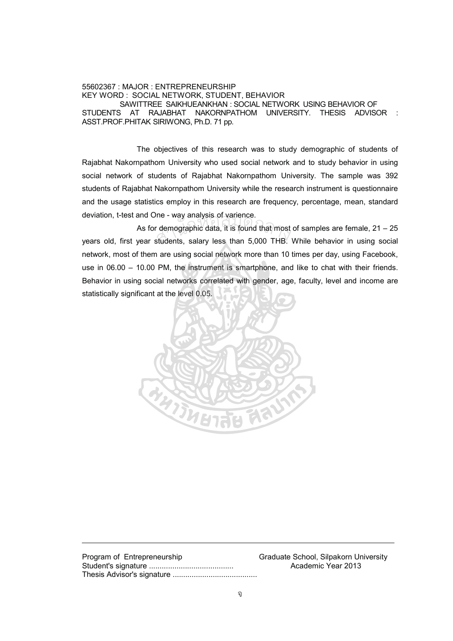## 55602367 : MAJOR : ENTREPRENEURSHIP KEY WORD : SOCIAL NETWORK, STUDENT, BEHAVIOR SAWITTREE SAIKHUEANKHAN : SOCIAL NETWORK USING BEHAVIOR OF STUDENTS AT RAJABHAT NAKORNPATHOM UNIVERSITY. THESIS ADVISOR : ASST.PROF.PHITAK SIRIWONG, Ph.D. 71 pp.

The objectives of this research was to study demographic of students of Rajabhat Nakornpathom University who used social network and to study behavior in using social network of students of Rajabhat Nakornpathom University. The sample was 392 students of Rajabhat Nakornpathom University while the research instrument is questionnaire and the usage statistics employ in this research are frequency, percentage, mean, standard deviation, t-test and One - way analysis of varience.

As for demographic data, it is found that most of samples are female, 21 – 25 years old, first year students, salary less than 5,000 THB. While behavior in using social network, most of them are using social network more than 10 times per day, using Facebook, use in 06.00 – 10.00 PM, the instrument is smartphone, and like to chat with their friends. Behavior in using social networks correlated with gender, age, faculty, level and income are statistically significant at the level 0.05. rile - way analysis of varience.<br>r demographic data, it is found that most<br>students, salary less than 5,000 THB.



Program of Entrepreneurship Graduate School, Silpakorn University Student's signature ........................................ Academic Year 2013 Thesis Advisor's signature ........................................